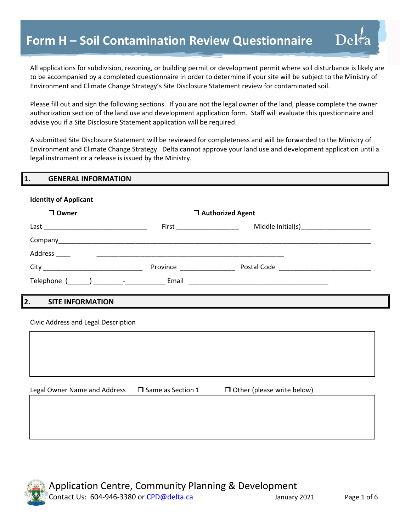All applications for subdivision, rezoning, or building permit or development permit where soil disturbance is likely are to be accompanied by a completed questionnaire in order to determine if your site will be subject to the Ministry of Environment and Climate Change Strategy's Site Disclosure Statement review for contaminated soil.

Please fill out and sign the following sections. If you are not the legal owner of the land, please complete the owner authorization section of the land use and development application form. Staff will evaluate this questionnaire and advise you if a Site Disclosure Statement application will be required.

A submitted Site Disclosure Statement will be reviewed for completeness and will be forwarded to the Ministry of Environment and Climate Change Strategy. Delta cannot approve your land use and development application until a legal instrument or a release is issued by the Ministry.

| $\mathbf{1}$ .<br><b>GENERAL INFORMATION</b> |                     |                                        |  |
|----------------------------------------------|---------------------|----------------------------------------|--|
| <b>Identity of Applicant</b>                 |                     |                                        |  |
| □ Owner                                      |                     | □ Authorized Agent                     |  |
|                                              | $First  _$          | Middle Initial(s)_____________________ |  |
|                                              |                     |                                        |  |
|                                              |                     |                                        |  |
|                                              |                     |                                        |  |
|                                              |                     |                                        |  |
|                                              |                     |                                        |  |
| 2.<br><b>SITE INFORMATION</b>                |                     |                                        |  |
| Civic Address and Legal Description          |                     |                                        |  |
|                                              |                     |                                        |  |
|                                              |                     |                                        |  |
|                                              |                     |                                        |  |
|                                              |                     |                                        |  |
| Legal Owner Name and Address                 | □ Same as Section 1 | $\Box$ Other (please write below)      |  |
|                                              |                     |                                        |  |
|                                              |                     |                                        |  |
|                                              |                     |                                        |  |
|                                              |                     |                                        |  |
|                                              |                     |                                        |  |
|                                              |                     |                                        |  |
| <b>SHIPPERS</b>                              |                     |                                        |  |



Delta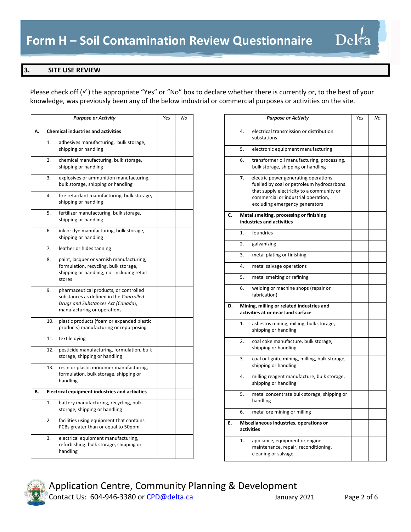Please check off  $(v')$  the appropriate "Yes" or "No" box to declare whether there is currently or, to the best of your knowledge, was previously been any of the below industrial or commercial purposes or activities on the site.

|    |                                           | <b>Purpose or Activity</b>                                                                                                                             | Yes | No |
|----|-------------------------------------------|--------------------------------------------------------------------------------------------------------------------------------------------------------|-----|----|
| А. | <b>Chemical industries and activities</b> |                                                                                                                                                        |     |    |
|    | 1.                                        | adhesives manufacturing, bulk storage,<br>shipping or handling                                                                                         |     |    |
|    | 2.                                        | chemical manufacturing, bulk storage,<br>shipping or handling                                                                                          |     |    |
|    | 3.                                        | explosives or ammunition manufacturing,<br>bulk storage, shipping or handling                                                                          |     |    |
|    | 4.                                        | fire retardant manufacturing, bulk storage,<br>shipping or handling                                                                                    |     |    |
|    | 5.                                        | fertilizer manufacturing, bulk storage,<br>shipping or handling                                                                                        |     |    |
|    | 6.                                        | ink or dye manufacturing, bulk storage,<br>shipping or handling                                                                                        |     |    |
|    | 7.                                        | leather or hides tanning                                                                                                                               |     |    |
|    | 8.                                        | paint, lacquer or varnish manufacturing,<br>formulation, recycling, bulk storage,<br>shipping or handling, not including retail<br>stores              |     |    |
|    | 9.                                        | pharmaceutical products, or controlled<br>substances as defined in the Controlled<br>Drugs and Substances Act (Canada),<br>manufacturing or operations |     |    |
|    | 10.                                       | plastic products (foam or expanded plastic<br>products) manufacturing or repurposing                                                                   |     |    |
|    | 11.                                       | textile dying                                                                                                                                          |     |    |
|    | 12.                                       | pesticide manufacturing, formulation, bulk<br>storage, shipping or handling                                                                            |     |    |
|    | 13.                                       | resin or plastic monomer manufacturing,<br>formulation, bulk storage, shipping or<br>handling                                                          |     |    |
| В. |                                           | <b>Electrical equipment industries and activities</b>                                                                                                  |     |    |
|    | 1.                                        | battery manufacturing, recycling, bulk<br>storage, shipping or handling                                                                                |     |    |
|    | 2.                                        | facilities using equipment that contains<br>PCBs greater than or equal to 50ppm                                                                        |     |    |
|    | 3.                                        | electrical equipment manufacturing,<br>refurbishing. bulk storage, shipping or<br>handling                                                             |     |    |

|    |                                                                                 | <b>Purpose or Activity</b>                                                                                                                                                                              | Yes | No |
|----|---------------------------------------------------------------------------------|---------------------------------------------------------------------------------------------------------------------------------------------------------------------------------------------------------|-----|----|
|    | 4.                                                                              | electrical transmission or distribution<br>substations                                                                                                                                                  |     |    |
|    | 5.                                                                              | electronic equipment manufacturing                                                                                                                                                                      |     |    |
|    | 6.                                                                              | transformer oil manufacturing, processing,<br>bulk storage, shipping or handling                                                                                                                        |     |    |
|    | 7.                                                                              | electric power generating operations<br>fuelled by coal or petroleum hydrocarbons<br>that supply electricity to a community or<br>commercial or industrial operation,<br>excluding emergency generators |     |    |
| C. |                                                                                 | Metal smelting, processing or finishing<br>industries and activities                                                                                                                                    |     |    |
|    | 1.                                                                              | foundries                                                                                                                                                                                               |     |    |
|    | 2.                                                                              | galvanizing                                                                                                                                                                                             |     |    |
|    | 3.                                                                              | metal plating or finishing                                                                                                                                                                              |     |    |
|    | 4.                                                                              | metal salvage operations                                                                                                                                                                                |     |    |
|    | 5.                                                                              | metal smelting or refining                                                                                                                                                                              |     |    |
|    | 6.                                                                              | welding or machine shops (repair or<br>fabrication)                                                                                                                                                     |     |    |
| D. | Mining, milling or related industries and<br>activities at or near land surface |                                                                                                                                                                                                         |     |    |
|    | 1.                                                                              | asbestos mining, milling, bulk storage,<br>shipping or handling                                                                                                                                         |     |    |
|    | 2.                                                                              | coal coke manufacture, bulk storage,<br>shipping or handling                                                                                                                                            |     |    |
|    | 3.                                                                              | coal or lignite mining, milling, bulk storage,<br>shipping or handling                                                                                                                                  |     |    |
|    | 4.                                                                              | milling reagent manufacture, bulk storage,<br>shipping or handling                                                                                                                                      |     |    |
|    | 5.                                                                              | metal concentrate bulk storage, shipping or<br>handling                                                                                                                                                 |     |    |
|    | 6.                                                                              | metal ore mining or milling                                                                                                                                                                             |     |    |
| E. | Miscellaneous industries, operations or<br>activities                           |                                                                                                                                                                                                         |     |    |
|    | 1.                                                                              | appliance, equipment or engine<br>maintenance, repair, reconditioning,<br>cleaning or salvage                                                                                                           |     |    |

Delta



Contact Us: 604-946-3380 or CPD@delta.ca January 2021 Page 2 of 6 Application Centre, Community Planning & Development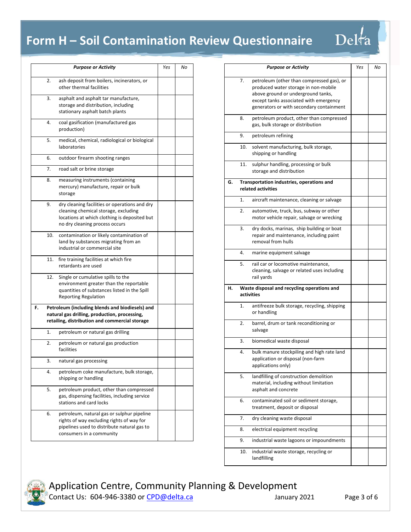|    |     | <b>Purpose or Activity</b>                                                                                                                                              | Yes | No |
|----|-----|-------------------------------------------------------------------------------------------------------------------------------------------------------------------------|-----|----|
|    | 2.  | ash deposit from boilers, incinerators, or<br>other thermal facilities                                                                                                  |     |    |
|    | 3.  | asphalt and asphalt tar manufacture,<br>storage and distribution, including<br>stationary asphalt batch plants                                                          |     |    |
|    | 4.  | coal gasification (manufactured gas<br>production)                                                                                                                      |     |    |
|    | 5.  | medical, chemical, radiological or biological<br>laboratories                                                                                                           |     |    |
|    | 6.  | outdoor firearm shooting ranges                                                                                                                                         |     |    |
|    | 7.  | road salt or brine storage                                                                                                                                              |     |    |
|    | 8.  | measuring instruments (containing<br>mercury) manufacture, repair or bulk<br>storage                                                                                    |     |    |
|    | 9.  | dry cleaning facilities or operations and dry<br>cleaning chemical storage, excluding<br>locations at which clothing is deposited but<br>no dry cleaning process occurs |     |    |
|    | 10. | contamination or likely contamination of<br>land by substances migrating from an<br>industrial or commercial site                                                       |     |    |
|    | 11. | fire training facilities at which fire<br>retardants are used                                                                                                           |     |    |
|    | 12. | Single or cumulative spills to the<br>environment greater than the reportable<br>quantities of substances listed in the Spill<br><b>Reporting Regulation</b>            |     |    |
| F. |     | Petroleum (including blends and biodiesels) and<br>natural gas drilling, production, processing,<br>retailing, distribution and commercial storage                      |     |    |
|    | 1.  | petroleum or natural gas drilling                                                                                                                                       |     |    |
|    | 2.  | petroleum or natural gas production<br>facilities                                                                                                                       |     |    |
|    | 3.  | natural gas processing                                                                                                                                                  |     |    |
|    | 4.  | petroleum coke manufacture, bulk storage,<br>shipping or handling                                                                                                       |     |    |
|    | 5.  | petroleum product, other than compressed<br>gas, dispensing facilities, including service<br>stations and card locks                                                    |     |    |
|    | 6.  | petroleum, natural gas or sulphur pipeline<br>rights of way excluding rights of way for<br>pipelines used to distribute natural gas to<br>consumers in a community      |     |    |

|    |                  | <b>Purpose or Activity</b>                                                        | Yes | No |
|----|------------------|-----------------------------------------------------------------------------------|-----|----|
|    |                  |                                                                                   |     |    |
|    | 7.               | petroleum (other than compressed gas), or<br>produced water storage in non-mobile |     |    |
|    |                  | above ground or underground tanks,                                                |     |    |
|    |                  | except tanks associated with emergency                                            |     |    |
|    |                  | generators or with secondary containment                                          |     |    |
|    | 8.               | petroleum product, other than compressed                                          |     |    |
|    |                  | gas, bulk storage or distribution                                                 |     |    |
|    | 9.               | petroleum refining                                                                |     |    |
|    | 10.              | solvent manufacturing, bulk storage,                                              |     |    |
|    |                  | shipping or handling                                                              |     |    |
|    | 11.              | sulphur handling, processing or bulk                                              |     |    |
|    |                  | storage and distribution                                                          |     |    |
| G. |                  | Transportation industries, operations and                                         |     |    |
|    |                  | related activities                                                                |     |    |
|    | 1.               | aircraft maintenance, cleaning or salvage                                         |     |    |
|    | $\overline{2}$ . | automotive, truck, bus, subway or other                                           |     |    |
|    |                  | motor vehicle repair, salvage or wrecking                                         |     |    |
|    | 3.               | dry docks, marinas, ship building or boat                                         |     |    |
|    |                  | repair and maintenance, including paint                                           |     |    |
|    |                  | removal from hulls                                                                |     |    |
|    | 4.               | marine equipment salvage                                                          |     |    |
|    | 5.               | rail car or locomotive maintenance,                                               |     |    |
|    |                  | cleaning, salvage or related uses including                                       |     |    |
|    |                  | rail yards                                                                        |     |    |
| н. |                  | Waste disposal and recycling operations and<br>activities                         |     |    |
|    | 1.               | antifreeze bulk storage, recycling, shipping                                      |     |    |
|    |                  | or handling                                                                       |     |    |
|    | 2.               | barrel, drum or tank reconditioning or                                            |     |    |
|    |                  | salvage                                                                           |     |    |
|    | 3.               | biomedical waste disposal                                                         |     |    |
|    | 4.               | bulk manure stockpiling and high rate land                                        |     |    |
|    |                  | application or disposal (non-farm                                                 |     |    |
|    |                  | applications only)                                                                |     |    |
|    | 5.               | landfilling of construction demolition                                            |     |    |
|    |                  | material, including without limitation                                            |     |    |
|    |                  | asphalt and concrete                                                              |     |    |
|    | 6.               | contaminated soil or sediment storage,                                            |     |    |
|    |                  | treatment, deposit or disposal                                                    |     |    |
|    | 7.               | dry cleaning waste disposal                                                       |     |    |
|    | 8.               | electrical equipment recycling                                                    |     |    |
|    | 9.               | industrial waste lagoons or impoundments                                          |     |    |
|    | 10.              | industrial waste storage, recycling or                                            |     |    |
|    |                  | landfilling                                                                       |     |    |
|    |                  |                                                                                   |     |    |

Delta



Contact Us: 604-946-3380 or CPD@delta.ca January 2021 Page 3 of 6 Application Centre, Community Planning & Development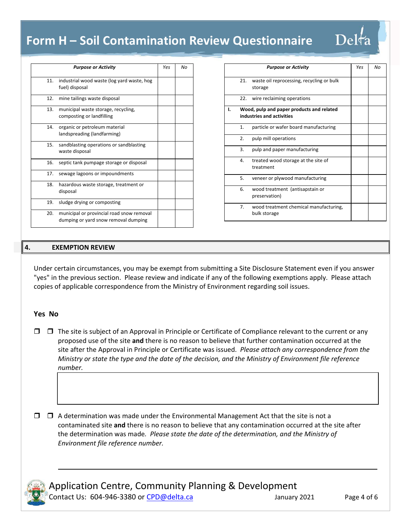|     | <b>Purpose or Activity</b>                                                        | Yes | Nο |
|-----|-----------------------------------------------------------------------------------|-----|----|
| 11. | industrial wood waste (log yard waste, hog<br>fuel) disposal                      |     |    |
| 12. | mine tailings waste disposal                                                      |     |    |
| 13. | municipal waste storage, recycling,<br>composting or landfilling                  |     |    |
| 14. | organic or petroleum material<br>landspreading (landfarming)                      |     |    |
| 15. | sandblasting operations or sandblasting<br>waste disposal                         |     |    |
| 16. | septic tank pumpage storage or disposal                                           |     |    |
| 17. | sewage lagoons or impoundments                                                    |     |    |
| 18. | hazardous waste storage, treatment or<br>disposal                                 |     |    |
| 19. | sludge drying or composting                                                       |     |    |
| 20. | municipal or provincial road snow removal<br>dumping or yard snow removal dumping |     |    |

|    |                                                                        | <b>Purpose or Activity</b>                             | Yes | No |
|----|------------------------------------------------------------------------|--------------------------------------------------------|-----|----|
|    | 21.                                                                    | waste oil reprocessing, recycling or bulk<br>storage   |     |    |
|    | 22.                                                                    | wire reclaiming operations                             |     |    |
| ı. | Wood, pulp and paper products and related<br>industries and activities |                                                        |     |    |
|    | $\mathbf{1}$ .                                                         | particle or wafer board manufacturing                  |     |    |
|    | 2.                                                                     | pulp mill operations                                   |     |    |
|    | 3.                                                                     | pulp and paper manufacturing                           |     |    |
|    | 4.                                                                     | treated wood storage at the site of<br>treatment       |     |    |
|    | 5.                                                                     | veneer or plywood manufacturing                        |     |    |
|    | 6.                                                                     | wood treatment (antisapstain or<br>preservation)       |     |    |
|    | 7.                                                                     | wood treatment chemical manufacturing,<br>bulk storage |     |    |

Delta

#### **4. EXEMPTION REVIEW**

Under certain circumstances, you may be exempt from submitting a Site Disclosure Statement even if you answer "yes" in the previous section. Please review and indicate if any of the following exemptions apply. Please attach copies of applicable correspondence from the Ministry of Environment regarding soil issues.

#### **Yes No**

 $\Box$   $\Box$  The site is subject of an Approval in Principle or Certificate of Compliance relevant to the current or any proposed use of the site **and** there is no reason to believe that further contamination occurred at the site after the Approval in Principle or Certificate was issued. *Please attach any correspondence from the Ministry or state the type and the date of the decision, and the Ministry of Environment file reference number.* 

 $\mathcal{L}_\text{max} = \mathcal{L}_\text{max} = \mathcal{L}_\text{max} = \mathcal{L}_\text{max} = \mathcal{L}_\text{max} = \mathcal{L}_\text{max} = \mathcal{L}_\text{max} = \mathcal{L}_\text{max} = \mathcal{L}_\text{max} = \mathcal{L}_\text{max} = \mathcal{L}_\text{max} = \mathcal{L}_\text{max} = \mathcal{L}_\text{max} = \mathcal{L}_\text{max} = \mathcal{L}_\text{max} = \mathcal{L}_\text{max} = \mathcal{L}_\text{max} = \mathcal{L}_\text{max} = \mathcal{$ 

 $\mathcal{L}_\text{max} = \frac{1}{2} \sum_{i=1}^n \mathcal{L}_\text{max}(\mathbf{x}_i - \mathbf{y}_i)$ 

 $\Box$   $\Box$  A determination was made under the Environmental Management Act that the site is not a contaminated site **and** there is no reason to believe that any contamination occurred at the site after the determination was made*. Please state the date of the determination, and the Ministry of Environment file reference number.* 



and a strike

Contact Us: 604-946-3380 or CPD@delta.ca January 2021 Page 4 of 6 Application Centre, Community Planning & Development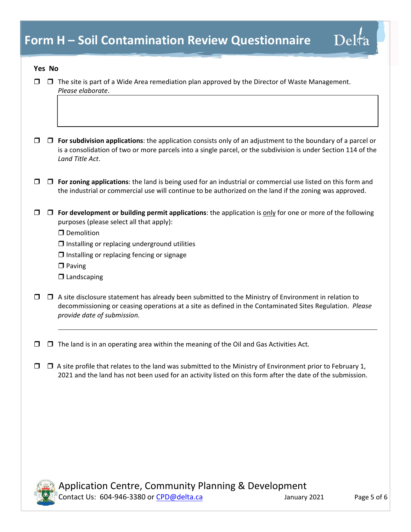#### **Yes No**

 $\sim$  1

|  | $\Box$ $\Box$ The site is part of a Wide Area remediation plan approved by the Director of Waste Management. |
|--|--------------------------------------------------------------------------------------------------------------|
|  | Please elaborate.                                                                                            |

- **For subdivision applications**: the application consists only of an adjustment to the boundary of a parcel or is a consolidation of two or more parcels into a single parcel, or the subdivision is under Section 114 of the *Land Title Act*.
- **For zoning applications**: the land is being used for an industrial or commercial use listed on this form and the industrial or commercial use will continue to be authorized on the land if the zoning was approved.
- **For development or building permit applications**: the application is only for one or more of the following purposes (please select all that apply):

**D** Demolition

- $\Box$  Installing or replacing underground utilities
- $\Box$  Installing or replacing fencing or signage
- $\square$  Paving
- $\Box$  Landscaping
- $\Box$  A site disclosure statement has already been submitted to the Ministry of Environment in relation to decommissioning or ceasing operations at a site as defined in the Contaminated Sites Regulation. *Please provide date of submission.*
- The land is in an operating area within the meaning of the Oil and Gas Activities Act*.*
- $\Box$   $\Box$  A site profile that relates to the land was submitted to the Ministry of Environment prior to February 1, 2021 and the land has not been used for an activity listed on this form after the date of the submission.



and a string

Contact Us: 604-946-3380 or CPD@delta.ca January 2021 Page 5 of 6 Application Centre, Community Planning & Development

 $\text{Delta}$